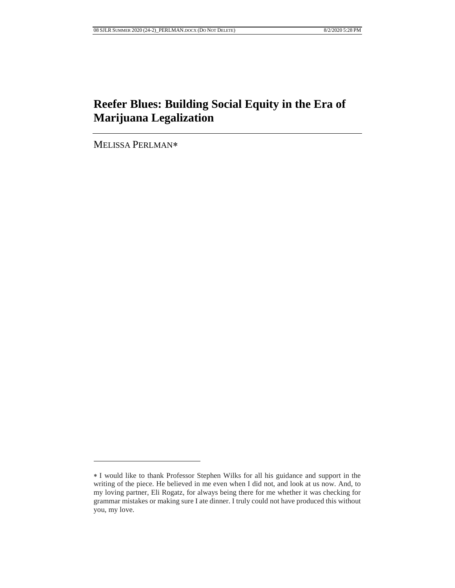# **Reefer Blues: Building Social Equity in the Era of Marijuana Legalization**

MELISSA PERLMAN

I would like to thank Professor Stephen Wilks for all his guidance and support in the writing of the piece. He believed in me even when I did not, and look at us now. And, to my loving partner, Eli Rogatz, for always being there for me whether it was checking for grammar mistakes or making sure I ate dinner. I truly could not have produced this without you, my love.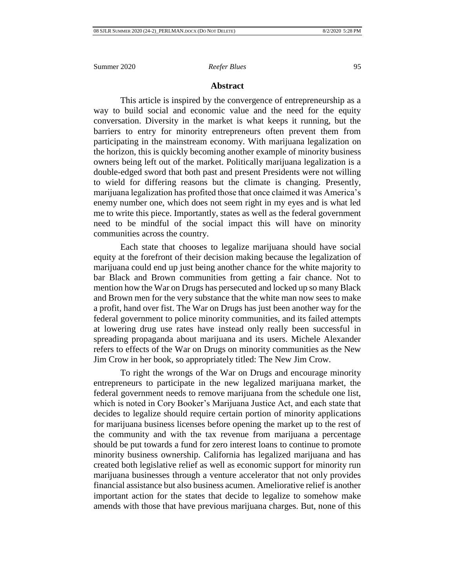### **Abstract**

This article is inspired by the convergence of entrepreneurship as a way to build social and economic value and the need for the equity conversation. Diversity in the market is what keeps it running, but the barriers to entry for minority entrepreneurs often prevent them from participating in the mainstream economy. With marijuana legalization on the horizon, this is quickly becoming another example of minority business owners being left out of the market. Politically marijuana legalization is a double-edged sword that both past and present Presidents were not willing to wield for differing reasons but the climate is changing. Presently, marijuana legalization has profited those that once claimed it was America's enemy number one, which does not seem right in my eyes and is what led me to write this piece. Importantly, states as well as the federal government need to be mindful of the social impact this will have on minority communities across the country.

Each state that chooses to legalize marijuana should have social equity at the forefront of their decision making because the legalization of marijuana could end up just being another chance for the white majority to bar Black and Brown communities from getting a fair chance. Not to mention how the War on Drugs has persecuted and locked up so many Black and Brown men for the very substance that the white man now sees to make a profit, hand over fist. The War on Drugs has just been another way for the federal government to police minority communities, and its failed attempts at lowering drug use rates have instead only really been successful in spreading propaganda about marijuana and its users. Michele Alexander refers to effects of the War on Drugs on minority communities as the New Jim Crow in her book, so appropriately titled: The New Jim Crow.

To right the wrongs of the War on Drugs and encourage minority entrepreneurs to participate in the new legalized marijuana market, the federal government needs to remove marijuana from the schedule one list, which is noted in Cory Booker's Marijuana Justice Act, and each state that decides to legalize should require certain portion of minority applications for marijuana business licenses before opening the market up to the rest of the community and with the tax revenue from marijuana a percentage should be put towards a fund for zero interest loans to continue to promote minority business ownership. California has legalized marijuana and has created both legislative relief as well as economic support for minority run marijuana businesses through a venture accelerator that not only provides financial assistance but also business acumen. Ameliorative relief is another important action for the states that decide to legalize to somehow make amends with those that have previous marijuana charges. But, none of this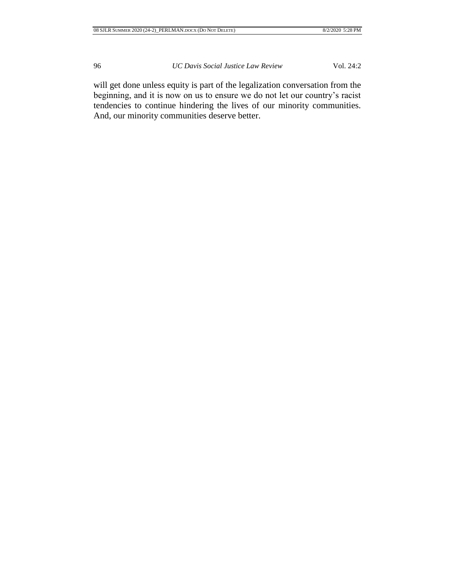will get done unless equity is part of the legalization conversation from the beginning, and it is now on us to ensure we do not let our country's racist tendencies to continue hindering the lives of our minority communities. And, our minority communities deserve better.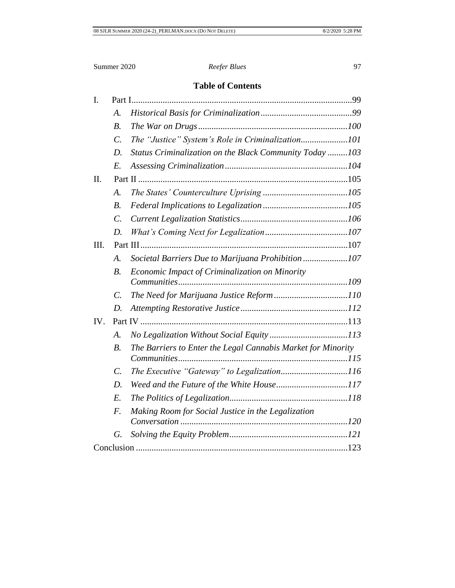# **Table of Contents**

| I.  |                 |                                                              |  |
|-----|-----------------|--------------------------------------------------------------|--|
|     | А.              |                                                              |  |
|     | $B$ .           |                                                              |  |
|     | $\mathcal{C}$ . | The "Justice" System's Role in Criminalization101            |  |
|     | D.              | Status Criminalization on the Black Community Today103       |  |
|     | $E$ .           |                                                              |  |
| II. |                 |                                                              |  |
|     | A.              |                                                              |  |
|     | $B$ .           |                                                              |  |
|     | $\mathcal{C}$ . |                                                              |  |
|     | D.              |                                                              |  |
| Ш.  |                 |                                                              |  |
|     | A.              | Societal Barriers Due to Marijuana Prohibition107            |  |
|     | $B$ .           | Economic Impact of Criminalization on Minority               |  |
|     | $\mathcal{C}$ . |                                                              |  |
|     | D.              |                                                              |  |
| IV. |                 |                                                              |  |
|     | A.              |                                                              |  |
|     | $B$ .           | The Barriers to Enter the Legal Cannabis Market for Minority |  |
|     |                 |                                                              |  |
|     | $\mathcal{C}$ . | The Executive "Gateway" to Legalization116                   |  |
|     | D.              |                                                              |  |
|     | E.              |                                                              |  |
|     | $F_{\cdot}$     | Making Room for Social Justice in the Legalization           |  |
|     |                 |                                                              |  |
|     | G.              |                                                              |  |
|     |                 |                                                              |  |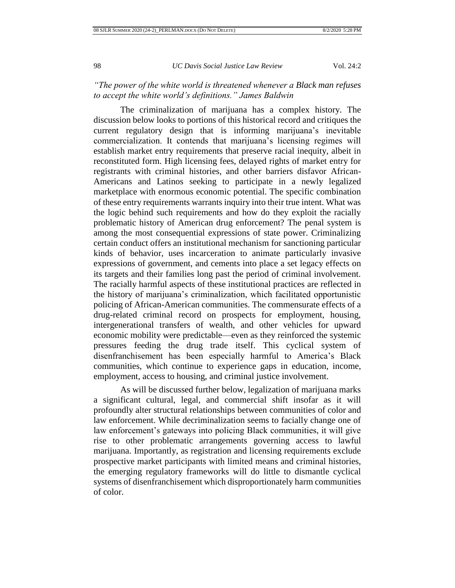# *"The power of the white world is threatened whenever a Black man refuses to accept the white world's definitions." James Baldwin*

The criminalization of marijuana has a complex history. The discussion below looks to portions of this historical record and critiques the current regulatory design that is informing marijuana's inevitable commercialization. It contends that marijuana's licensing regimes will establish market entry requirements that preserve racial inequity, albeit in reconstituted form. High licensing fees, delayed rights of market entry for registrants with criminal histories, and other barriers disfavor African-Americans and Latinos seeking to participate in a newly legalized marketplace with enormous economic potential. The specific combination of these entry requirements warrants inquiry into their true intent. What was the logic behind such requirements and how do they exploit the racially problematic history of American drug enforcement? The penal system is among the most consequential expressions of state power. Criminalizing certain conduct offers an institutional mechanism for sanctioning particular kinds of behavior, uses incarceration to animate particularly invasive expressions of government, and cements into place a set legacy effects on its targets and their families long past the period of criminal involvement. The racially harmful aspects of these institutional practices are reflected in the history of marijuana's criminalization, which facilitated opportunistic policing of African-American communities. The commensurate effects of a drug-related criminal record on prospects for employment, housing, intergenerational transfers of wealth, and other vehicles for upward economic mobility were predictable—even as they reinforced the systemic pressures feeding the drug trade itself. This cyclical system of disenfranchisement has been especially harmful to America's Black communities, which continue to experience gaps in education, income, employment, access to housing, and criminal justice involvement.

As will be discussed further below, legalization of marijuana marks a significant cultural, legal, and commercial shift insofar as it will profoundly alter structural relationships between communities of color and law enforcement. While decriminalization seems to facially change one of law enforcement's gateways into policing Black communities, it will give rise to other problematic arrangements governing access to lawful marijuana. Importantly, as registration and licensing requirements exclude prospective market participants with limited means and criminal histories, the emerging regulatory frameworks will do little to dismantle cyclical systems of disenfranchisement which disproportionately harm communities of color.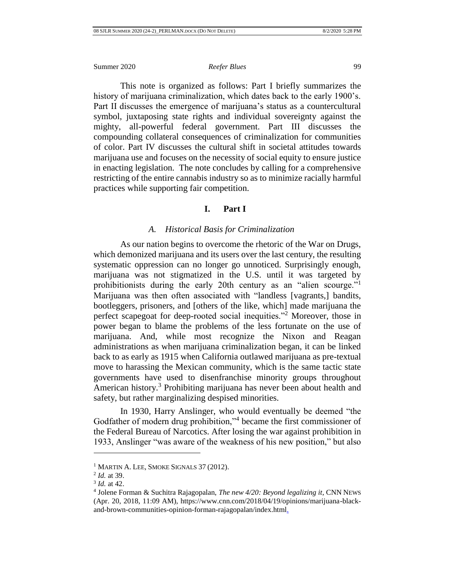This note is organized as follows: Part I briefly summarizes the history of marijuana criminalization, which dates back to the early 1900's. Part II discusses the emergence of marijuana's status as a countercultural symbol, juxtaposing state rights and individual sovereignty against the mighty, all-powerful federal government. Part III discusses the compounding collateral consequences of criminalization for communities of color. Part IV discusses the cultural shift in societal attitudes towards marijuana use and focuses on the necessity of social equity to ensure justice in enacting legislation. The note concludes by calling for a comprehensive restricting of the entire cannabis industry so as to minimize racially harmful practices while supporting fair competition.

# **I. Part I**

### *A. Historical Basis for Criminalization*

<span id="page-5-1"></span><span id="page-5-0"></span>As our nation begins to overcome the rhetoric of the War on Drugs, which demonized marijuana and its users over the last century, the resulting systematic oppression can no longer go unnoticed. Surprisingly enough, marijuana was not stigmatized in the U.S. until it was targeted by prohibitionists during the early 20th century as an "alien scourge."<sup>1</sup> Marijuana was then often associated with "landless [vagrants,] bandits, bootleggers, prisoners, and [others of the like, which] made marijuana the perfect scapegoat for deep-rooted social inequities."<sup>2</sup> Moreover, those in power began to blame the problems of the less fortunate on the use of marijuana. And, while most recognize the Nixon and Reagan administrations as when marijuana criminalization began, it can be linked back to as early as 1915 when California outlawed marijuana as pre-textual move to harassing the Mexican community, which is the same tactic state governments have used to disenfranchise minority groups throughout American history.<sup>3</sup> Prohibiting marijuana has never been about health and safety, but rather marginalizing despised minorities.

In 1930, Harry Anslinger, who would eventually be deemed "the Godfather of modern drug prohibition,"<sup>4</sup> became the first commissioner of the Federal Bureau of Narcotics. After losing the war against prohibition in 1933, Anslinger "was aware of the weakness of his new position," but also

<sup>&</sup>lt;sup>1</sup> MARTIN A. LEE, SMOKE SIGNALS 37 (2012).

<sup>2</sup> *Id.* at 39.

<sup>3</sup> *Id.* at 42.

<sup>4</sup> Jolene Forman & Suchitra Rajagopalan, *The new 4/20: Beyond legalizing it*, CNN NEWS (Apr. 20, 2018, 11:09 AM), https://www.cnn.com/2018/04/19/opinions/marijuana-blackand-brown-communities-opinion-forman-rajagopalan/index.html.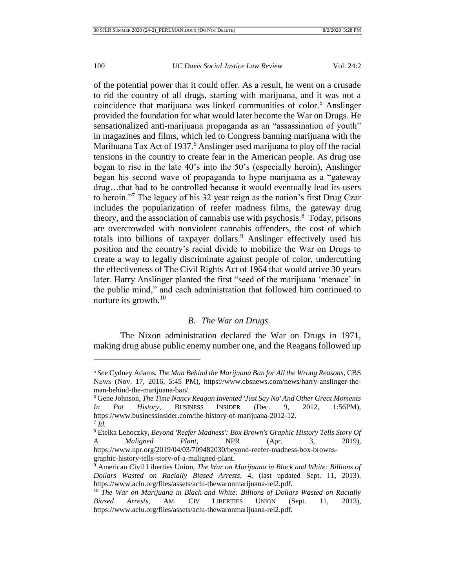$\overline{a}$ 

### 100 *UC Davis Social Justice Law Review* Vol. 24:2

of the potential power that it could offer. As a result, he went on a crusade to rid the country of all drugs, starting with marijuana, and it was not a coincidence that marijuana was linked communities of color.<sup>5</sup> Anslinger provided the foundation for what would later become the War on Drugs. He sensationalized anti-marijuana propaganda as an "assassination of youth" in magazines and films, which led to Congress banning marijuana with the Marihuana Tax Act of 1937.<sup>6</sup> Anslinger used marijuana to play off the racial tensions in the country to create fear in the American people. As drug use began to rise in the late 40's into the 50's (especially heroin), Anslinger began his second wave of propaganda to hype marijuana as a "gateway drug…that had to be controlled because it would eventually lead its users to heroin."<sup>7</sup> The legacy of his 32 year reign as the nation's first Drug Czar includes the popularization of reefer madness films, the gateway drug theory, and the association of cannabis use with psychosis.<sup>8</sup> Today, prisons are overcrowded with nonviolent cannabis offenders, the cost of which totals into billions of taxpayer dollars.<sup>9</sup> Anslinger effectively used his position and the country's racial divide to mobilize the War on Drugs to create a way to legally discriminate against people of color, undercutting the effectiveness of The Civil Rights Act of 1964 that would arrive 30 years later. Harry Anslinger planted the first "seed of the marijuana 'menace' in the public mind," and each administration that followed him continued to nurture its growth. $10$ 

# *B. The War on Drugs*

<span id="page-6-0"></span>The Nixon administration declared the War on Drugs in 1971, making drug abuse public enemy number one, and the Reagans followed up

<sup>5</sup> *See* Cydney Adams, *The Man Behind the Marijuana Ban for All the Wrong Reasons*, CBS NEWS (Nov. 17, 2016, 5:45 PM), https://www.cbsnews.com/news/harry-anslinger-theman-behind-the-marijuana-ban/.

<sup>6</sup> Gene Johnson, *The Time Nancy Reagan Invented 'Just Say No' And Other Great Moments In Pot History*, BUSINESS INSIDER (Dec. 9, 2012, 1:56PM), https://www.businessinsider.com/the-history-of-marijuana-2012-12. 7 *Id.*

<sup>8</sup> Etelka Lehoczky, *Beyond 'Reefer Madness': Box Brown's Graphic History Tells Story Of A Maligned Plant*, NPR (Apr. 3, 2019), https://www.npr.org/2019/04/03/709482030/beyond-reefer-madness-box-brownsgraphic-history-tells-story-of-a-maligned-plant.

<sup>9</sup> American Civil Liberties Union, *The War on Marijuana in Black and White: Billions of Dollars Wasted on Racially Biased Arrests*, 4, (last updated Sept. 11, 2013), https://www.aclu.org/files/assets/aclu-thewaronmarijuana-rel2.pdf.

<sup>&</sup>lt;sup>10</sup> *The War on Marijuana in Black and White: Billions of Dollars Wasted on Racially Biased Arrests*, AM. CIV LIBERTIES UNION (Sept. 11, 2013), https://www.aclu.org/files/assets/aclu-thewaronmarijuana-rel2.pdf.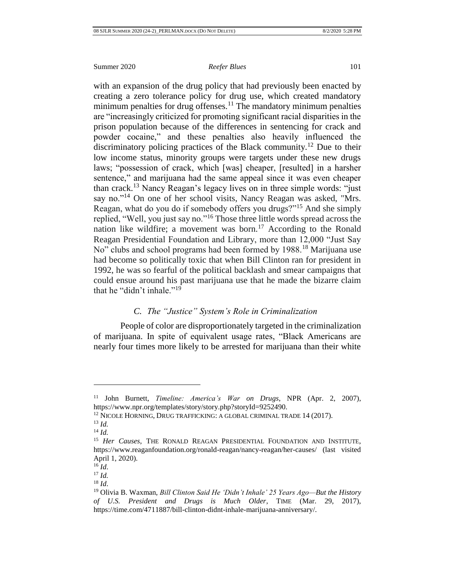with an expansion of the drug policy that had previously been enacted by creating a zero tolerance policy for drug use, which created mandatory minimum penalties for drug offenses.<sup>11</sup> The mandatory minimum penalties are "increasingly criticized for promoting significant racial disparities in the prison population because of the differences in sentencing for crack and powder cocaine," and these penalties also heavily influenced the discriminatory policing practices of the Black community.<sup>12</sup> Due to their low income status, minority groups were targets under these new drugs laws; "possession of crack, which [was] cheaper, [resulted] in a harsher sentence," and marijuana had the same appeal since it was even cheaper than crack.<sup>13</sup> Nancy Reagan's legacy lives on in three simple words: "just say no."<sup>14</sup> On one of her school visits, Nancy Reagan was asked, "Mrs. Reagan, what do you do if somebody offers you drugs?"<sup>15</sup> And she simply replied, "Well, you just say no."<sup>16</sup> Those three little words spread across the nation like wildfire; a movement was born.<sup>17</sup> According to the Ronald Reagan Presidential Foundation and Library, more than 12,000 "Just Say No" clubs and school programs had been formed by 1988.<sup>18</sup> Marijuana use had become so politically toxic that when Bill Clinton ran for president in 1992, he was so fearful of the political backlash and smear campaigns that could ensue around his past marijuana use that he made the bizarre claim that he "didn't inhale."<sup>19</sup>

# *C. The "Justice" System's Role in Criminalization*

<span id="page-7-0"></span>People of color are disproportionately targeted in the criminalization of marijuana. In spite of equivalent usage rates, "Black Americans are nearly four times more likely to be arrested for marijuana than their white

<sup>11</sup> John Burnett, *Timeline: America's War on Drugs*, NPR (Apr. 2, 2007), https://www.npr.org/templates/story/story.php?storyId=9252490.

<sup>&</sup>lt;sup>12</sup> NICOLE HORNING, DRUG TRAFFICKING: A GLOBAL CRIMINAL TRADE 14 (2017). <sup>13</sup> *Id.*

<sup>14</sup> *Id.*

<sup>&</sup>lt;sup>15</sup> *Her Causes*, THE RONALD REAGAN PRESIDENTIAL FOUNDATION AND INSTITUTE, https://www.reaganfoundation.org/ronald-reagan/nancy-reagan/her-causes/ (last visited April 1, 2020).

 $^{16}$ *Id.* 

 $17$  *Id.* 

<sup>18</sup> *Id*.

<sup>19</sup> Olivia B. Waxman, *Bill Clinton Said He 'Didn't Inhale' 25 Years Ago—But the History of U.S. President and Drugs is Much Older*, TIME (Mar. 29, 2017), https://time.com/4711887/bill-clinton-didnt-inhale-marijuana-anniversary/.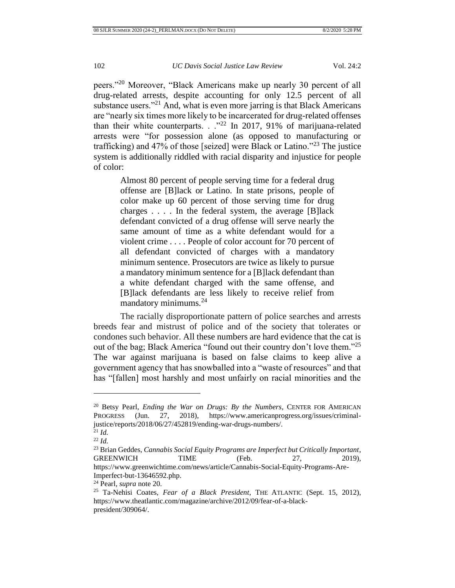peers."<sup>20</sup> Moreover, "Black Americans make up nearly 30 percent of all drug-related arrests, despite accounting for only 12.5 percent of all substance users."<sup>21</sup> And, what is even more jarring is that Black Americans are "nearly six times more likely to be incarcerated for drug-related offenses than their white counterparts. . .<sup>"22</sup> In 2017, 91% of marijuana-related arrests were "for possession alone (as opposed to manufacturing or trafficking) and 47% of those [seized] were Black or Latino. $123$  The justice system is additionally riddled with racial disparity and injustice for people of color:

Almost 80 percent of people serving time for a federal drug offense are [B]lack or Latino. In state prisons, people of color make up 60 percent of those serving time for drug charges . . . . In the federal system, the average [B]lack defendant convicted of a drug offense will serve nearly the same amount of time as a white defendant would for a violent crime . . . . People of color account for 70 percent of all defendant convicted of charges with a mandatory minimum sentence. Prosecutors are twice as likely to pursue a mandatory minimum sentence for a [B]lack defendant than a white defendant charged with the same offense, and [B]lack defendants are less likely to receive relief from mandatory minimums.<sup>24</sup>

The racially disproportionate pattern of police searches and arrests breeds fear and mistrust of police and of the society that tolerates or condones such behavior. All these numbers are hard evidence that the cat is out of the bag; Black America "found out their country don't love them."<sup>25</sup> The war against marijuana is based on false claims to keep alive a government agency that has snowballed into a "waste of resources" and that has "[fallen] most harshly and most unfairly on racial minorities and the

<sup>20</sup> Betsy Pearl, *Ending the War on Drugs: By the Numbers*, CENTER FOR AMERICAN PROGRESS (Jun. 27, 2018), https://www.americanprogress.org/issues/criminaljustice/reports/2018/06/27/452819/ending-war-drugs-numbers/.

 $2^{21}$  *Id.* 

<sup>22</sup> *Id.*

<sup>23</sup> Brian Geddes, *Cannabis Social Equity Programs are Imperfect but Critically Important*, GREENWICH TIME (Feb. 27, 2019), https://www.greenwichtime.com/news/article/Cannabis-Social-Equity-Programs-Are-Imperfect-but-13646592.php.

<sup>24</sup> Pearl, *supra* note 20*.*

<sup>25</sup> Ta-Nehisi Coates, *Fear of a Black President*, THE ATLANTIC (Sept. 15, 2012), https://www.theatlantic.com/magazine/archive/2012/09/fear-of-a-blackpresident/309064/.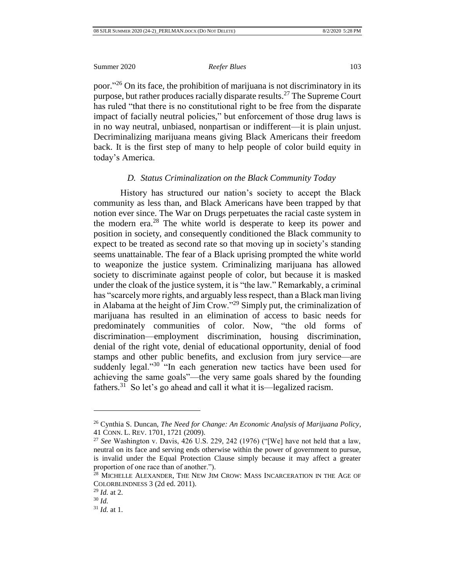poor."<sup>26</sup> On its face, the prohibition of marijuana is not discriminatory in its purpose, but rather produces racially disparate results.<sup>27</sup> The Supreme Court has ruled "that there is no constitutional right to be free from the disparate impact of facially neutral policies," but enforcement of those drug laws is in no way neutral, unbiased, nonpartisan or indifferent—it is plain unjust. Decriminalizing marijuana means giving Black Americans their freedom back. It is the first step of many to help people of color build equity in today's America.

### *D. Status Criminalization on the Black Community Today*

<span id="page-9-0"></span>History has structured our nation's society to accept the Black community as less than, and Black Americans have been trapped by that notion ever since. The War on Drugs perpetuates the racial caste system in the modern era.<sup>28</sup> The white world is desperate to keep its power and position in society, and consequently conditioned the Black community to expect to be treated as second rate so that moving up in society's standing seems unattainable. The fear of a Black uprising prompted the white world to weaponize the justice system. Criminalizing marijuana has allowed society to discriminate against people of color, but because it is masked under the cloak of the justice system, it is "the law." Remarkably, a criminal has "scarcely more rights, and arguably less respect, than a Black man living in Alabama at the height of Jim Crow."<sup>29</sup> Simply put, the criminalization of marijuana has resulted in an elimination of access to basic needs for predominately communities of color. Now, "the old forms of discrimination—employment discrimination, housing discrimination, denial of the right vote, denial of educational opportunity, denial of food stamps and other public benefits, and exclusion from jury service—are suddenly legal."<sup>30</sup> "In each generation new tactics have been used for achieving the same goals"—the very same goals shared by the founding fathers.<sup>31</sup> So let's go ahead and call it what it is—legalized racism.

<sup>26</sup> Cynthia S. Duncan, *The Need for Change: An Economic Analysis of Marijuana Policy*, 41 CONN. L. REV. 1701, 1721 (2009).

<sup>27</sup> *See* Washington v. Davis, 426 U.S. 229, 242 (1976) ("[We] have not held that a law, neutral on its face and serving ends otherwise within the power of government to pursue, is invalid under the Equal Protection Clause simply because it may affect a greater proportion of one race than of another.").

<sup>&</sup>lt;sup>28</sup> MICHELLE ALEXANDER, THE NEW JIM CROW: MASS INCARCERATION IN THE AGE OF COLORBLINDNESS 3 (2d ed. 2011).

<sup>29</sup> *Id.* at 2.

<sup>30</sup> *Id.*

<sup>31</sup> *Id.* at 1.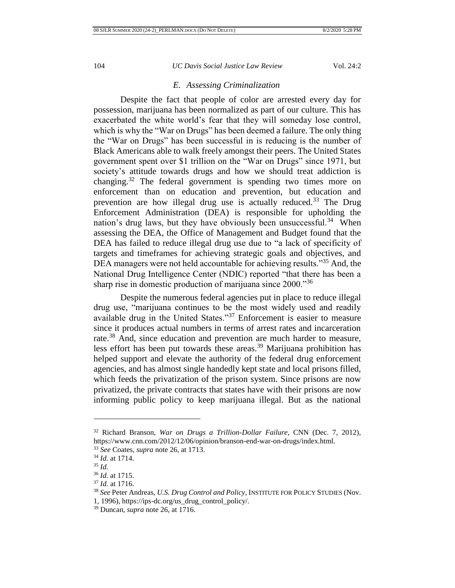# *E. Assessing Criminalization*

<span id="page-10-0"></span>Despite the fact that people of color are arrested every day for possession, marijuana has been normalized as part of our culture. This has exacerbated the white world's fear that they will someday lose control, which is why the "War on Drugs" has been deemed a failure. The only thing the "War on Drugs" has been successful in is reducing is the number of Black Americans able to walk freely amongst their peers. The United States government spent over \$1 trillion on the "War on Drugs" since 1971, but society's attitude towards drugs and how we should treat addiction is changing.<sup>32</sup> The federal government is spending two times more on enforcement than on education and prevention, but education and prevention are how illegal drug use is actually reduced.<sup>33</sup> The Drug Enforcement Administration (DEA) is responsible for upholding the nation's drug laws, but they have obviously been unsuccessful.<sup>34</sup> When assessing the DEA, the Office of Management and Budget found that the DEA has failed to reduce illegal drug use due to "a lack of specificity of targets and timeframes for achieving strategic goals and objectives, and DEA managers were not held accountable for achieving results."<sup>35</sup> And, the National Drug Intelligence Center (NDIC) reported "that there has been a sharp rise in domestic production of marijuana since 2000."<sup>36</sup>

Despite the numerous federal agencies put in place to reduce illegal drug use, "marijuana continues to be the most widely used and readily available drug in the United States."<sup>37</sup> Enforcement is easier to measure since it produces actual numbers in terms of arrest rates and incarceration rate.<sup>38</sup> And, since education and prevention are much harder to measure, less effort has been put towards these areas.<sup>39</sup> Marijuana prohibition has helped support and elevate the authority of the federal drug enforcement agencies, and has almost single handedly kept state and local prisons filled, which feeds the privatization of the prison system. Since prisons are now privatized, the private contracts that states have with their prisons are now informing public policy to keep marijuana illegal. But as the national

<sup>32</sup> Richard Branson, *War on Drugs a Trillion-Dollar Failure*, CNN (Dec. 7, 2012), https://www.cnn.com/2012/12/06/opinion/branson-end-war-on-drugs/index.html.

<sup>33</sup> *See* Coates, *supra* note 26, at 1713.

<sup>34</sup> *Id.* at 1714.

<sup>35</sup> *Id.*

<sup>36</sup> *Id.* at 1715.

<sup>37</sup> *Id.* at 1716.

<sup>38</sup> *See* Peter Andreas, *U.S. Drug Control and Policy*, INSTITUTE FOR POLICY STUDIES (Nov.

<sup>1, 1996),</sup> https://ips-dc.org/us\_drug\_control\_policy/.

<sup>39</sup> Duncan, *supra* note 26, at 1716.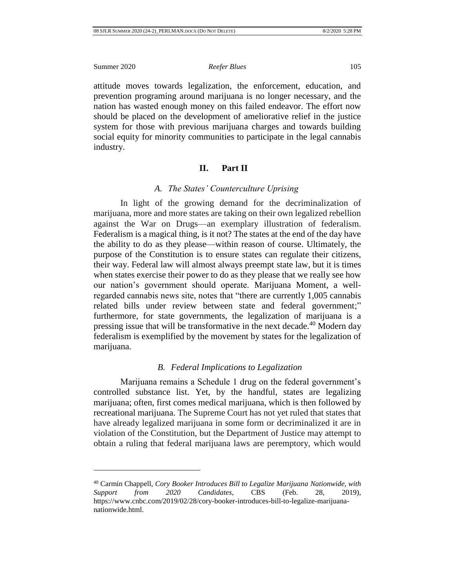$\overline{a}$ 

attitude moves towards legalization, the enforcement, education, and prevention programing around marijuana is no longer necessary, and the nation has wasted enough money on this failed endeavor. The effort now should be placed on the development of ameliorative relief in the justice system for those with previous marijuana charges and towards building social equity for minority communities to participate in the legal cannabis industry.

# **II. Part II**

# *A. The States' Counterculture Uprising*

<span id="page-11-1"></span><span id="page-11-0"></span>In light of the growing demand for the decriminalization of marijuana, more and more states are taking on their own legalized rebellion against the War on Drugs—an exemplary illustration of federalism. Federalism is a magical thing, is it not? The states at the end of the day have the ability to do as they please—within reason of course. Ultimately, the purpose of the Constitution is to ensure states can regulate their citizens, their way. Federal law will almost always preempt state law, but it is times when states exercise their power to do as they please that we really see how our nation's government should operate. Marijuana Moment, a wellregarded cannabis news site, notes that "there are currently 1,005 cannabis related bills under review between state and federal government;" furthermore, for state governments, the legalization of marijuana is a pressing issue that will be transformative in the next decade.<sup>40</sup> Modern day federalism is exemplified by the movement by states for the legalization of marijuana.

# *B. Federal Implications to Legalization*

<span id="page-11-2"></span>Marijuana remains a Schedule 1 drug on the federal government's controlled substance list. Yet, by the handful, states are legalizing marijuana; often, first comes medical marijuana, which is then followed by recreational marijuana. The Supreme Court has not yet ruled that states that have already legalized marijuana in some form or decriminalized it are in violation of the Constitution, but the Department of Justice may attempt to obtain a ruling that federal marijuana laws are peremptory, which would

<sup>40</sup> Carmin Chappell, *Cory Booker Introduces Bill to Legalize Marijuana Nationwide, with Support from 2020 Candidates*, CBS (Feb. 28, 2019), https://www.cnbc.com/2019/02/28/cory-booker-introduces-bill-to-legalize-marijuananationwide.html.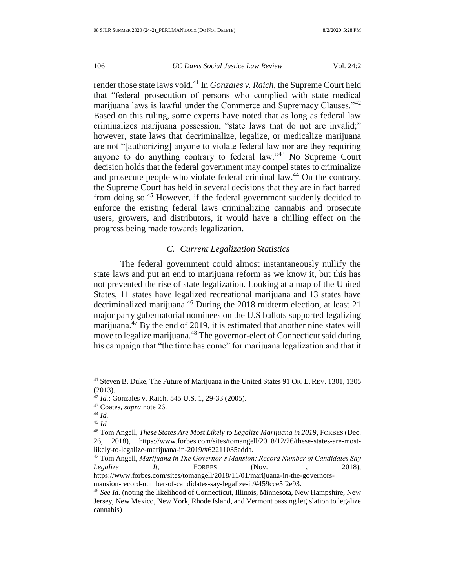render those state laws void.<sup>41</sup> In *Gonzales v. Raich*, the Supreme Court held that "federal prosecution of persons who complied with state medical marijuana laws is lawful under the Commerce and Supremacy Clauses."<sup>42</sup> Based on this ruling, some experts have noted that as long as federal law criminalizes marijuana possession, "state laws that do not are invalid;" however, state laws that decriminalize, legalize, or medicalize marijuana are not "[authorizing] anyone to violate federal law nor are they requiring anyone to do anything contrary to federal law."<sup>43</sup> No Supreme Court decision holds that the federal government may compel states to criminalize and prosecute people who violate federal criminal law.<sup>44</sup> On the contrary, the Supreme Court has held in several decisions that they are in fact barred from doing so.<sup>45</sup> However, if the federal government suddenly decided to enforce the existing federal laws criminalizing cannabis and prosecute users, growers, and distributors, it would have a chilling effect on the progress being made towards legalization.

# *C. Current Legalization Statistics*

<span id="page-12-0"></span>The federal government could almost instantaneously nullify the state laws and put an end to marijuana reform as we know it, but this has not prevented the rise of state legalization. Looking at a map of the United States, 11 states have legalized recreational marijuana and 13 states have decriminalized marijuana.<sup>46</sup> During the 2018 midterm election, at least 21 major party gubernatorial nominees on the U.S ballots supported legalizing marijuana.<sup>47</sup> By the end of 2019, it is estimated that another nine states will move to legalize marijuana.<sup>48</sup> The governor-elect of Connecticut said during his campaign that "the time has come" for marijuana legalization and that it

<sup>41</sup> Steven B. Duke, The Future of Marijuana in the United States 91 OR. L. REV. 1301, 1305 (2013).

<sup>42</sup> *Id.*; Gonzales v. Raich, 545 U.S. 1, 29-33 (2005).

<sup>43</sup> Coates, *supra* note 26.

<sup>44</sup> *Id.*

<sup>45</sup> *Id.*

<sup>46</sup> Tom Angell, *These States Are Most Likely to Legalize Marijuana in 2019*, FORBES (Dec. 26, 2018), https://www.forbes.com/sites/tomangell/2018/12/26/these-states-are-mostlikely-to-legalize-marijuana-in-2019/#62211035adda.

<sup>47</sup> Tom Angell, *Marijuana in The Governor's Mansion: Record Number of Candidates Say Legalize It*, FORBES (Nov. 1, 2018), https://www.forbes.com/sites/tomangell/2018/11/01/marijuana-in-the-governorsmansion-record-number-of-candidates-say-legalize-it/#459cce5f2e93.

<sup>48</sup> *See Id.* (noting the likelihood of Connecticut, Illinois, Minnesota, New Hampshire, New Jersey, New Mexico, New York, Rhode Island, and Vermont passing legislation to legalize cannabis)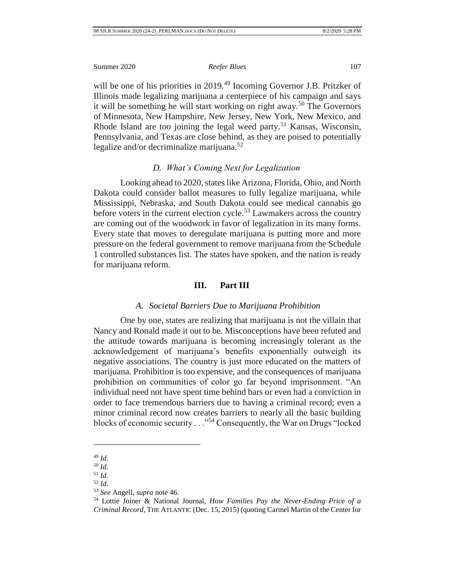will be one of his priorities in 2019.<sup>49</sup> Incoming Governor J.B. Pritzker of Illinois made legalizing marijuana a centerpiece of his campaign and says it will be something he will start working on right away.<sup>50</sup> The Governors of Minnesota, New Hampshire, New Jersey, New York, New Mexico, and Rhode Island are too joining the legal weed party.<sup>51</sup> Kansas, Wisconsin, Pennsylvania, and Texas are close behind, as they are poised to potentially legalize and/or decriminalize marijuana. $52$ 

# *D. What's Coming Next for Legalization*

<span id="page-13-0"></span>Looking ahead to 2020, states like Arizona, Florida, Ohio, and North Dakota could consider ballot measures to fully legalize marijuana, while Mississippi, Nebraska, and South Dakota could see medical cannabis go before voters in the current election cycle.<sup>53</sup> Lawmakers across the country are coming out of the woodwork in favor of legalization in its many forms. Every state that moves to deregulate marijuana is putting more and more pressure on the federal government to remove marijuana from the Schedule 1 controlled substances list. The states have spoken, and the nation is ready for marijuana reform.

# **III. Part III**

# *A. Societal Barriers Due to Marijuana Prohibition*

<span id="page-13-2"></span><span id="page-13-1"></span>One by one, states are realizing that marijuana is not the villain that Nancy and Ronald made it out to be. Misconceptions have been refuted and the attitude towards marijuana is becoming increasingly tolerant as the acknowledgement of marijuana's benefits exponentially outweigh its negative associations. The country is just more educated on the matters of marijuana. Prohibition is too expensive, and the consequences of marijuana prohibition on communities of color go far beyond imprisonment. "An individual need not have spent time behind bars or even had a conviction in order to face tremendous barriers due to having a criminal record; even a minor criminal record now creates barriers to nearly all the basic building blocks of economic security . . ."<sup>54</sup> Consequently, the War on Drugs "locked

<sup>49</sup> *Id.*

<sup>50</sup> *Id.*

<sup>51</sup> *Id.* <sup>52</sup> *Id.*

<sup>53</sup> *See* Angell, *supra* note 46.

<sup>54</sup> Lottie Joiner & National Journal, *How Families Pay the Never-Ending Price of a Criminal Record*, THE ATLANTIC (Dec. 15, 2015) (quoting Carmel Martin of the Center for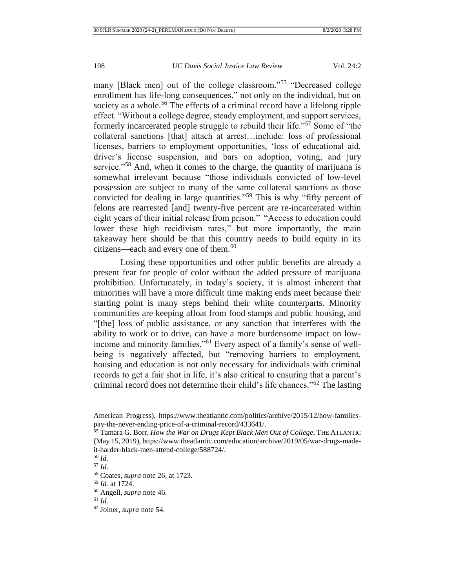many [Black men] out of the college classroom."<sup>55</sup> "Decreased college enrollment has life-long consequences," not only on the individual, but on society as a whole.<sup>56</sup> The effects of a criminal record have a lifelong ripple effect. "Without a college degree, steady employment, and support services, formerly incarcerated people struggle to rebuild their life."<sup>57</sup> Some of "the collateral sanctions [that] attach at arrest…include: loss of professional licenses, barriers to employment opportunities, 'loss of educational aid, driver's license suspension, and bars on adoption, voting, and jury service."<sup>58</sup> And, when it comes to the charge, the quantity of marijuana is somewhat irrelevant because "those individuals convicted of low-level possession are subject to many of the same collateral sanctions as those convicted for dealing in large quantities."<sup>59</sup> This is why "fifty percent of felons are rearrested [and] twenty-five percent are re-incarcerated within eight years of their initial release from prison." "Access to education could lower these high recidivism rates," but more importantly, the main takeaway here should be that this country needs to build equity in its citizens—each and every one of them. $60$ 

Losing these opportunities and other public benefits are already a present fear for people of color without the added pressure of marijuana prohibition. Unfortunately, in today's society, it is almost inherent that minorities will have a more difficult time making ends meet because their starting point is many steps behind their white counterparts. Minority communities are keeping afloat from food stamps and public housing, and "[the] loss of public assistance, or any sanction that interferes with the ability to work or to drive, can have a more burdensome impact on lowincome and minority families."<sup>61</sup> Every aspect of a family's sense of wellbeing is negatively affected, but "removing barriers to employment, housing and education is not only necessary for individuals with criminal records to get a fair shot in life, it's also critical to ensuring that a parent's criminal record does not determine their child's life chances."<sup>62</sup> The lasting

American Progress), https://www.theatlantic.com/politics/archive/2015/12/how-familiespay-the-never-ending-price-of-a-criminal-record/433641/.

<sup>55</sup> Tamara G. Borr, *How the War on Drugs Kept Black Men Out of College*, THE ATLANTIC (May 15, 2019), https://www.theatlantic.com/education/archive/2019/05/war-drugs-madeit-harder-black-men-attend-college/588724/.

<sup>56</sup> *Id.*

<sup>57</sup> *Id.*

<sup>58</sup> Coates, *supra* note 26, at 1723.

<sup>59</sup> *Id.* at 1724.

<sup>60</sup> Angell, *supra* note 46.

<sup>61</sup> *Id.*

<sup>62</sup> Joiner, *supra* note 54.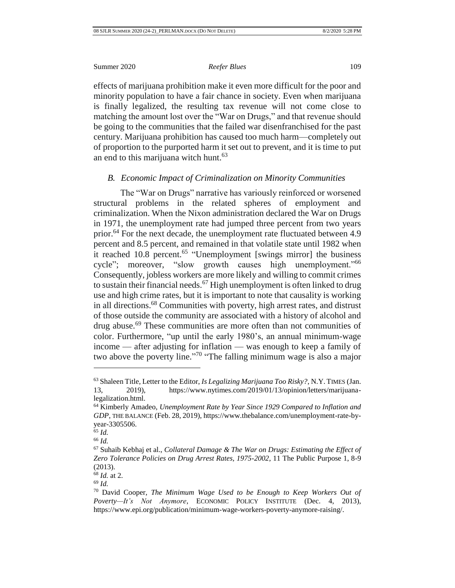effects of marijuana prohibition make it even more difficult for the poor and minority population to have a fair chance in society. Even when marijuana is finally legalized, the resulting tax revenue will not come close to matching the amount lost over the "War on Drugs," and that revenue should be going to the communities that the failed war disenfranchised for the past century. Marijuana prohibition has caused too much harm—completely out of proportion to the purported harm it set out to prevent, and it is time to put an end to this marijuana witch hunt.<sup>63</sup>

### <span id="page-15-0"></span>*B. Economic Impact of Criminalization on Minority Communities*

The "War on Drugs" narrative has variously reinforced or worsened structural problems in the related spheres of employment and criminalization. When the Nixon administration declared the War on Drugs in 1971, the unemployment rate had jumped three percent from two years prior.<sup>64</sup> For the next decade, the unemployment rate fluctuated between 4.9 percent and 8.5 percent, and remained in that volatile state until 1982 when it reached 10.8 percent.<sup>65</sup> "Unemployment [swings mirror] the business cycle"; moreover, "slow growth causes high unemployment."<sup>66</sup> Consequently, jobless workers are more likely and willing to commit crimes to sustain their financial needs.<sup>67</sup> High unemployment is often linked to drug use and high crime rates, but it is important to note that causality is working in all directions.<sup>68</sup> Communities with poverty, high arrest rates, and distrust of those outside the community are associated with a history of alcohol and drug abuse.<sup>69</sup> These communities are more often than not communities of color. Furthermore, "up until the early 1980's, an annual minimum-wage income — after adjusting for inflation — was enough to keep a family of two above the poverty line."<sup>70</sup> "The falling minimum wage is also a major

<sup>63</sup> Shaleen Title, Letter to the Editor, *Is Legalizing Marijuana Too Risky?*, N.Y. TIMES (Jan. 13, 2019), https://www.nytimes.com/2019/01/13/opinion/letters/marijuanalegalization.html.

<sup>64</sup> Kimberly Amadeo, *Unemployment Rate by Year Since 1929 Compared to Inflation and GDP*, THE BALANCE (Feb. 28, 2019), https://www.thebalance.com/unemployment-rate-byyear-3305506.

<sup>65</sup> *Id.*

<sup>66</sup> *Id.*

<sup>67</sup> Suhaib Kebhaj et al., *Collateral Damage & The War on Drugs: Estimating the Effect of Zero Tolerance Policies on Drug Arrest Rates, 1975-2002*, 11 The Public Purpose 1, 8-9 (2013).

<sup>68</sup> *Id.* at 2.

<sup>69</sup> *Id.*

<sup>70</sup> David Cooper, *The Minimum Wage Used to be Enough to Keep Workers Out of Poverty—It's Not Anymore*, ECONOMIC POLICY INSTITUTE (Dec. 4, 2013), https://www.epi.org/publication/minimum-wage-workers-poverty-anymore-raising/.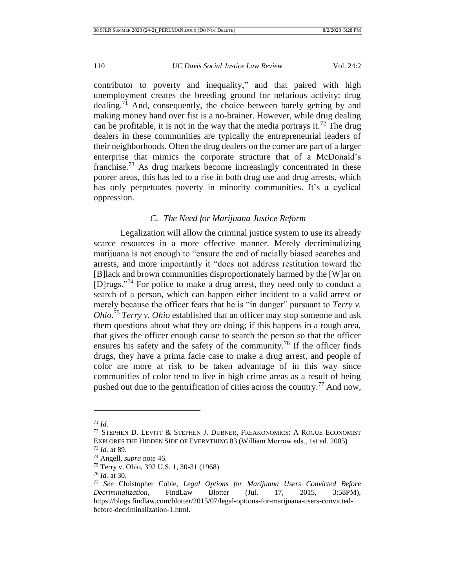contributor to poverty and inequality," and that paired with high unemployment creates the breeding ground for nefarious activity: drug dealing.<sup>71</sup> And, consequently, the choice between barely getting by and making money hand over fist is a no-brainer. However, while drug dealing can be profitable, it is not in the way that the media portrays it.<sup>72</sup> The drug dealers in these communities are typically the entrepreneurial leaders of their neighborhoods. Often the drug dealers on the corner are part of a larger enterprise that mimics the corporate structure that of a McDonald's franchise.<sup>73</sup> As drug markets become increasingly concentrated in these poorer areas, this has led to a rise in both drug use and drug arrests, which has only perpetuates poverty in minority communities. It's a cyclical oppression.

# *C. The Need for Marijuana Justice Reform*

<span id="page-16-0"></span>Legalization will allow the criminal justice system to use its already scarce resources in a more effective manner. Merely decriminalizing marijuana is not enough to "ensure the end of racially biased searches and arrests, and more importantly it "does not address restitution toward the [B]lack and brown communities disproportionately harmed by the [W]ar on [D]rugs."<sup>74</sup> For police to make a drug arrest, they need only to conduct a search of a person, which can happen either incident to a valid arrest or merely because the officer fears that he is "in danger" pursuant to *Terry v*. *Ohio*. <sup>75</sup> *Terry v. Ohio* established that an officer may stop someone and ask them questions about what they are doing; if this happens in a rough area, that gives the officer enough cause to search the person so that the officer ensures his safety and the safety of the community.<sup>76</sup> If the officer finds drugs, they have a prima facie case to make a drug arrest, and people of color are more at risk to be taken advantage of in this way since communities of color tend to live in high crime areas as a result of being pushed out due to the gentrification of cities across the country.<sup>77</sup> And now,

<sup>71</sup> *Id.*

<sup>72</sup> STEPHEN D. LEVITT & STEPHEN J. DUBNER, FREAKONOMICS: A ROGUE ECONOMIST EXPLORES THE HIDDEN SIDE OF EVERYTHING 83 (William Morrow eds., 1st ed. 2005)

<sup>73</sup> *Id.* at 89.

<sup>74</sup> Angell*, supra* note 46.

<sup>75</sup> Terry v. Ohio, 392 U.S. 1, 30-31 (1968)

<sup>76</sup> *Id.* at 30.

<sup>77</sup> *See* Christopher Coble, *Legal Options for Marijuana Users Convicted Before Decriminalization*, FindLaw Blotter (Jul. 17, 2015, 3:58PM), https://blogs.findlaw.com/blotter/2015/07/legal-options-for-marijuana-users-convictedbefore-decriminalization-1.html.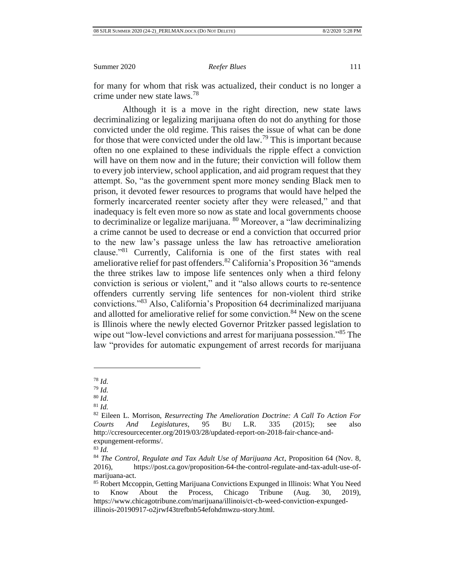for many for whom that risk was actualized, their conduct is no longer a crime under new state laws.<sup>78</sup>

Although it is a move in the right direction, new state laws decriminalizing or legalizing marijuana often do not do anything for those convicted under the old regime. This raises the issue of what can be done for those that were convicted under the old  $\text{law}^{\tau_9}$ . This is important because often no one explained to these individuals the ripple effect a conviction will have on them now and in the future; their conviction will follow them to every job interview, school application, and aid program request that they attempt. So, "as the government spent more money sending Black men to prison, it devoted fewer resources to programs that would have helped the formerly incarcerated reenter society after they were released," and that inadequacy is felt even more so now as state and local governments choose to decriminalize or legalize marijuana. <sup>80</sup> Moreover, a "law decriminalizing a crime cannot be used to decrease or end a conviction that occurred prior to the new law's passage unless the law has retroactive amelioration clause."<sup>81</sup> Currently, California is one of the first states with real ameliorative relief for past offenders.<sup>82</sup> California's Proposition 36 "amends the three strikes law to impose life sentences only when a third felony conviction is serious or violent," and it "also allows courts to re-sentence offenders currently serving life sentences for non-violent third strike convictions."<sup>83</sup> Also, California's Proposition 64 decriminalized marijuana and allotted for ameliorative relief for some conviction.<sup>84</sup> New on the scene is Illinois where the newly elected Governor Pritzker passed legislation to wipe out "low-level convictions and arrest for marijuana possession."<sup>85</sup> The law "provides for automatic expungement of arrest records for marijuana

<sup>78</sup> *Id.*

<sup>79</sup> *Id.*

<sup>80</sup> *Id*.

<sup>81</sup> *Id.*

<sup>82</sup> Eileen L. Morrison, *Resurrecting The Amelioration Doctrine: A Call To Action For Courts And Legislatures*, 95 BU L.R. 335 (2015); see also http://ccresourcecenter.org/2019/03/28/updated-report-on-2018-fair-chance-andexpungement-reforms/.

<sup>83</sup> *Id.*

<sup>84</sup> *The Control, Regulate and Tax Adult Use of Marijuana Act*, Proposition 64 (Nov. 8, 2016), https://post.ca.gov/proposition-64-the-control-regulate-and-tax-adult-use-ofmarijuana-act.

<sup>85</sup> Robert Mccoppin, Getting Marijuana Convictions Expunged in Illinois: What You Need to Know About the Process, Chicago Tribune (Aug. 30, 2019), https://www.chicagotribune.com/marijuana/illinois/ct-cb-weed-conviction-expungedillinois-20190917-o2jrwf43trefbnb54efohdmwzu-story.html.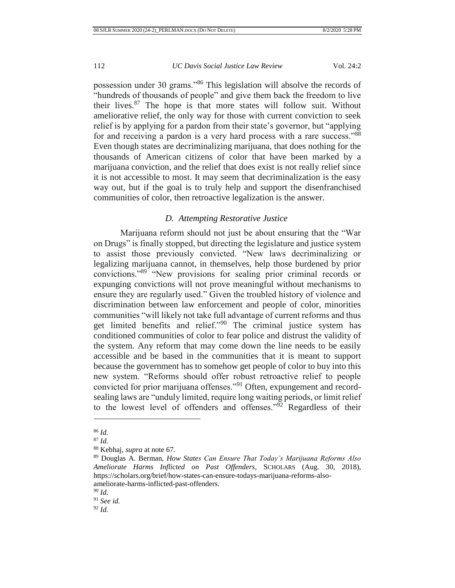possession under 30 grams."<sup>86</sup> This legislation will absolve the records of "hundreds of thousands of people" and give them back the freedom to live their lives. $87$  The hope is that more states will follow suit. Without ameliorative relief, the only way for those with current conviction to seek relief is by applying for a pardon from their state's governor, but "applying for and receiving a pardon is a very hard process with a rare success."<sup>88</sup> Even though states are decriminalizing marijuana, that does nothing for the thousands of American citizens of color that have been marked by a marijuana conviction, and the relief that does exist is not really relief since it is not accessible to most. It may seem that decriminalization is the easy way out, but if the goal is to truly help and support the disenfranchised communities of color, then retroactive legalization is the answer.

# *D. Attempting Restorative Justice*

<span id="page-18-0"></span>Marijuana reform should not just be about ensuring that the "War on Drugs" is finally stopped, but directing the legislature and justice system to assist those previously convicted. "New laws decriminalizing or legalizing marijuana cannot, in themselves, help those burdened by prior convictions."<sup>89</sup> "New provisions for sealing prior criminal records or expunging convictions will not prove meaningful without mechanisms to ensure they are regularly used." Given the troubled history of violence and discrimination between law enforcement and people of color, minorities communities "will likely not take full advantage of current reforms and thus get limited benefits and relief."<sup>90</sup> The criminal justice system has conditioned communities of color to fear police and distrust the validity of the system. Any reform that may come down the line needs to be easily accessible and be based in the communities that it is meant to support because the government has to somehow get people of color to buy into this new system. "Reforms should offer robust retroactive relief to people convicted for prior marijuana offenses."<sup>91</sup> Often, expungement and recordsealing laws are "unduly limited, require long waiting periods, or limit relief to the lowest level of offenders and offenses."<sup>92</sup> Regardless of their

 $\overline{a}$ 

<sup>91</sup> *See id.*

<sup>86</sup> *Id.*

<sup>87</sup> *Id.*

<sup>88</sup> Kebhaj, *supra* at note 67*.*

<sup>89</sup> Douglas A. Berman, *How States Can Ensure That Today's Marijuana Reforms Also Ameliorate Harms Inflicted on Past Offenders*, SCHOLARS (Aug. 30, 2018), https://scholars.org/brief/how-states-can-ensure-todays-marijuana-reforms-alsoameliorate-harms-inflicted-past-offenders.

<sup>90</sup> *Id.*

<sup>92</sup> *Id.*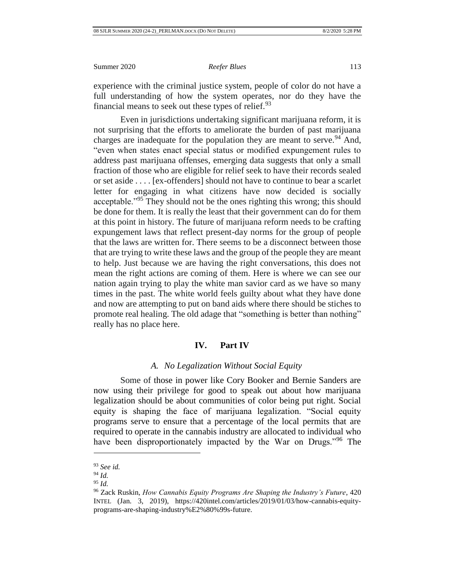experience with the criminal justice system, people of color do not have a full understanding of how the system operates, nor do they have the financial means to seek out these types of relief. $93$ 

Even in jurisdictions undertaking significant marijuana reform, it is not surprising that the efforts to ameliorate the burden of past marijuana charges are inadequate for the population they are meant to serve.<sup>94</sup> And, "even when states enact special status or modified expungement rules to address past marijuana offenses, emerging data suggests that only a small fraction of those who are eligible for relief seek to have their records sealed or set aside . . . . [ex-offenders] should not have to continue to bear a scarlet letter for engaging in what citizens have now decided is socially acceptable.<sup>"95</sup> They should not be the ones righting this wrong; this should be done for them. It is really the least that their government can do for them at this point in history. The future of marijuana reform needs to be crafting expungement laws that reflect present-day norms for the group of people that the laws are written for. There seems to be a disconnect between those that are trying to write these laws and the group of the people they are meant to help. Just because we are having the right conversations, this does not mean the right actions are coming of them. Here is where we can see our nation again trying to play the white man savior card as we have so many times in the past. The white world feels guilty about what they have done and now are attempting to put on band aids where there should be stiches to promote real healing. The old adage that "something is better than nothing" really has no place here.

# **IV. Part IV**

### *A. No Legalization Without Social Equity*

<span id="page-19-1"></span><span id="page-19-0"></span>Some of those in power like Cory Booker and Bernie Sanders are now using their privilege for good to speak out about how marijuana legalization should be about communities of color being put right. Social equity is shaping the face of marijuana legalization. "Social equity programs serve to ensure that a percentage of the local permits that are required to operate in the cannabis industry are allocated to individual who have been disproportionately impacted by the War on Drugs."<sup>96</sup> The

<sup>93</sup> *See id.*

<sup>94</sup> *Id.*

<sup>95</sup> *Id.*

<sup>96</sup> Zack Ruskin, *How Cannabis Equity Programs Are Shaping the Industry's Future*, 420 INTEL (Jan. 3, 2019), https://420intel.com/articles/2019/01/03/how-cannabis-equityprograms-are-shaping-industry%E2%80%99s-future.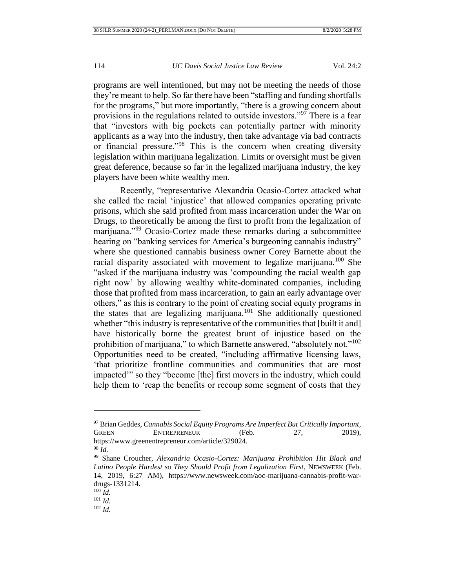programs are well intentioned, but may not be meeting the needs of those they're meant to help. So far there have been "staffing and funding shortfalls for the programs," but more importantly, "there is a growing concern about provisions in the regulations related to outside investors."<sup>97</sup> There is a fear that "investors with big pockets can potentially partner with minority applicants as a way into the industry, then take advantage via bad contracts or financial pressure."<sup>98</sup> This is the concern when creating diversity legislation within marijuana legalization. Limits or oversight must be given great deference, because so far in the legalized marijuana industry, the key players have been white wealthy men.

Recently, "representative Alexandria Ocasio-Cortez attacked what she called the racial 'injustice' that allowed companies operating private prisons, which she said profited from mass incarceration under the War on Drugs, to theoretically be among the first to profit from the legalization of marijuana."<sup>99</sup> Ocasio-Cortez made these remarks during a subcommittee hearing on "banking services for America's burgeoning cannabis industry" where she questioned cannabis business owner Corey Barnette about the racial disparity associated with movement to legalize marijuana.<sup>100</sup> She "asked if the marijuana industry was 'compounding the racial wealth gap right now' by allowing wealthy white-dominated companies, including those that profited from mass incarceration, to gain an early advantage over others," as this is contrary to the point of creating social equity programs in the states that are legalizing marijuana.<sup>101</sup> She additionally questioned whether "this industry is representative of the communities that [built it and] have historically borne the greatest brunt of injustice based on the prohibition of marijuana," to which Barnette answered, "absolutely not."<sup>102</sup> Opportunities need to be created, "including affirmative licensing laws, 'that prioritize frontline communities and communities that are most impacted'" so they "become [the] first movers in the industry, which could help them to 'reap the benefits or recoup some segment of costs that they

<sup>97</sup> Brian Geddes, *Cannabis Social Equity Programs Are Imperfect But Critically Important*, GREEN ENTREPRENEUR (Feb. 27, 2019), https://www.greenentrepreneur.com/article/329024.

<sup>98</sup> *Id.*

<sup>99</sup> Shane Croucher, *Alexandria Ocasio-Cortez: Marijuana Prohibition Hit Black and Latino People Hardest so They Should Profit from Legalization First*, NEWSWEEK (Feb. 14, 2019, 6:27 AM), https://www.newsweek.com/aoc-marijuana-cannabis-profit-wardrugs-1331214.

<sup>100</sup> *Id.*

<sup>101</sup> *Id.*

<sup>102</sup> *Id.*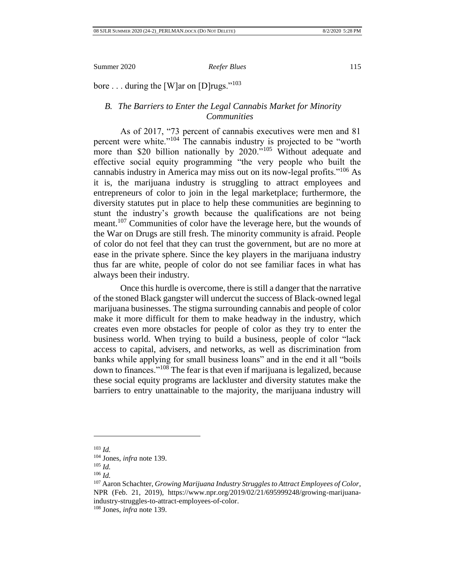<span id="page-21-0"></span>bore . . . during the [W]ar on [D] rugs."<sup>103</sup>

# *B. The Barriers to Enter the Legal Cannabis Market for Minority Communities*

As of 2017, "73 percent of cannabis executives were men and 81 percent were white."<sup>104</sup> The cannabis industry is projected to be "worth" more than \$20 billion nationally by 2020."<sup>105</sup> Without adequate and effective social equity programming "the very people who built the cannabis industry in America may miss out on its now-legal profits."<sup>106</sup> As it is, the marijuana industry is struggling to attract employees and entrepreneurs of color to join in the legal marketplace; furthermore, the diversity statutes put in place to help these communities are beginning to stunt the industry's growth because the qualifications are not being meant.<sup>107</sup> Communities of color have the leverage here, but the wounds of the War on Drugs are still fresh. The minority community is afraid. People of color do not feel that they can trust the government, but are no more at ease in the private sphere. Since the key players in the marijuana industry thus far are white, people of color do not see familiar faces in what has always been their industry.

Once this hurdle is overcome, there is still a danger that the narrative of the stoned Black gangster will undercut the success of Black-owned legal marijuana businesses. The stigma surrounding cannabis and people of color make it more difficult for them to make headway in the industry, which creates even more obstacles for people of color as they try to enter the business world. When trying to build a business, people of color "lack access to capital, advisers, and networks, as well as discrimination from banks while applying for small business loans" and in the end it all "boils down to finances."<sup>108</sup> The fear is that even if marijuana is legalized, because these social equity programs are lackluster and diversity statutes make the barriers to entry unattainable to the majority, the marijuana industry will

<sup>103</sup> *Id.*

<sup>104</sup> Jones, *infra* note 139.

<sup>105</sup> *Id.*

<sup>106</sup> *Id.*

<sup>107</sup> Aaron Schachter, *Growing Marijuana Industry Struggles to Attract Employees of Color*, NPR (Feb. 21, 2019), https://www.npr.org/2019/02/21/695999248/growing-marijuanaindustry-struggles-to-attract-employees-of-color.

<sup>108</sup> Jones, *infra* note 139.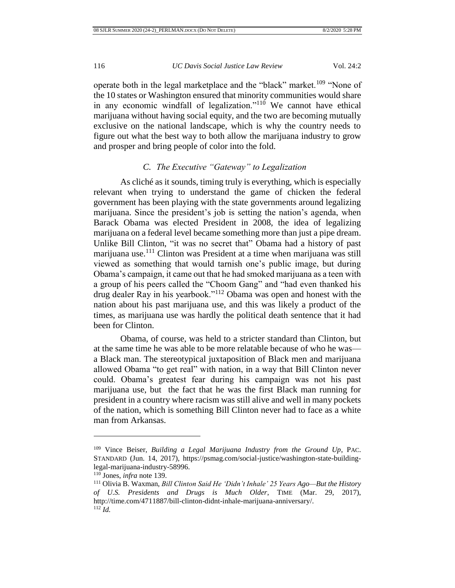operate both in the legal marketplace and the "black" market.<sup>109</sup> "None of the 10 states or Washington ensured that minority communities would share in any economic windfall of legalization."<sup>110</sup> We cannot have ethical marijuana without having social equity, and the two are becoming mutually exclusive on the national landscape, which is why the country needs to figure out what the best way to both allow the marijuana industry to grow and prosper and bring people of color into the fold.

# *C. The Executive "Gateway" to Legalization*

<span id="page-22-0"></span>As cliché as it sounds, timing truly is everything, which is especially relevant when trying to understand the game of chicken the federal government has been playing with the state governments around legalizing marijuana. Since the president's job is setting the nation's agenda, when Barack Obama was elected President in 2008, the idea of legalizing marijuana on a federal level became something more than just a pipe dream. Unlike Bill Clinton, "it was no secret that" Obama had a history of past marijuana use.<sup>111</sup> Clinton was President at a time when marijuana was still viewed as something that would tarnish one's public image, but during Obama's campaign, it came out that he had smoked marijuana as a teen with a group of his peers called the "Choom Gang" and "had even thanked his drug dealer Ray in his yearbook."<sup>112</sup> Obama was open and honest with the nation about his past marijuana use, and this was likely a product of the times, as marijuana use was hardly the political death sentence that it had been for Clinton.

Obama, of course, was held to a stricter standard than Clinton, but at the same time he was able to be more relatable because of who he was a Black man. The stereotypical juxtaposition of Black men and marijuana allowed Obama "to get real" with nation, in a way that Bill Clinton never could. Obama's greatest fear during his campaign was not his past marijuana use, but the fact that he was the first Black man running for president in a country where racism was still alive and well in many pockets of the nation, which is something Bill Clinton never had to face as a white man from Arkansas.

<sup>109</sup> Vince Beiser, *Building a Legal Marijuana Industry from the Ground Up*, PAC. STANDARD (Jun. 14, 2017), https://psmag.com/social-justice/washington-state-buildinglegal-marijuana-industry-58996.

<sup>110</sup> Jones, *infra* note 139.

<sup>111</sup> Olivia B. Waxman, *Bill Clinton Said He 'Didn't Inhale' 25 Years Ago—But the History of U.S. Presidents and Drugs is Much Older*, TIME (Mar. 29, 2017), http://time.com/4711887/bill-clinton-didnt-inhale-marijuana-anniversary/. <sup>112</sup> *Id.*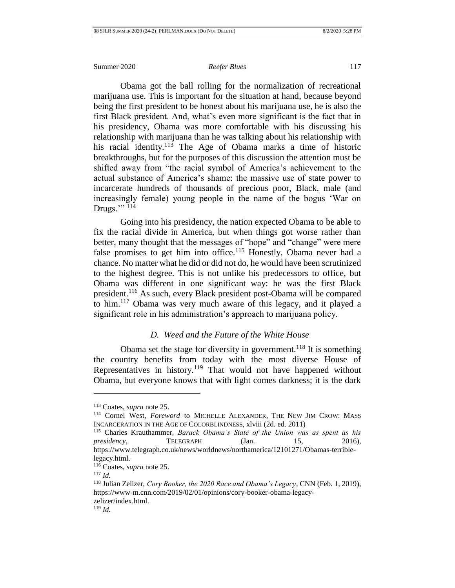Obama got the ball rolling for the normalization of recreational marijuana use. This is important for the situation at hand, because beyond being the first president to be honest about his marijuana use, he is also the first Black president. And, what's even more significant is the fact that in his presidency, Obama was more comfortable with his discussing his relationship with marijuana than he was talking about his relationship with his racial identity.<sup>113</sup> The Age of Obama marks a time of historic breakthroughs, but for the purposes of this discussion the attention must be shifted away from "the racial symbol of America's achievement to the actual substance of America's shame: the massive use of state power to incarcerate hundreds of thousands of precious poor, Black, male (and increasingly female) young people in the name of the bogus 'War on Drugs." $^{114}$ 

Going into his presidency, the nation expected Obama to be able to fix the racial divide in America, but when things got worse rather than better, many thought that the messages of "hope" and "change" were mere false promises to get him into office.<sup>115</sup> Honestly, Obama never had a chance. No matter what he did or did not do, he would have been scrutinized to the highest degree. This is not unlike his predecessors to office, but Obama was different in one significant way: he was the first Black president.<sup>116</sup> As such, every Black president post-Obama will be compared to him.<sup>117</sup> Obama was very much aware of this legacy, and it played a significant role in his administration's approach to marijuana policy.

# *D. Weed and the Future of the White House*

<span id="page-23-0"></span>Obama set the stage for diversity in government.<sup>118</sup> It is something the country benefits from today with the most diverse House of Representatives in history.<sup>119</sup> That would not have happened without Obama, but everyone knows that with light comes darkness; it is the dark

<sup>113</sup> Coates, *supra* note 25.

<sup>&</sup>lt;sup>114</sup> Cornel West, *Foreword* to MICHELLE ALEXANDER, THE NEW JIM CROW: MASS INCARCERATION IN THE AGE OF COLORBLINDNESS, xlviii (2d. ed. 2011)

<sup>115</sup> Charles Krauthammer, *Barack Obama's State of the Union was as spent as his presidency*, **TELEGRAPH** (Jan. 15, 2016), https://www.telegraph.co.uk/news/worldnews/northamerica/12101271/Obamas-terriblelegacy.html.

<sup>116</sup> Coates, *supra* note 25.

<sup>117</sup> *Id.*

<sup>118</sup> Julian Zelizer, *Cory Booker, the 2020 Race and Obama's Legacy*, CNN (Feb. 1, 2019), https://www-m.cnn.com/2019/02/01/opinions/cory-booker-obama-legacyzelizer/index.html.

<sup>119</sup> *Id.*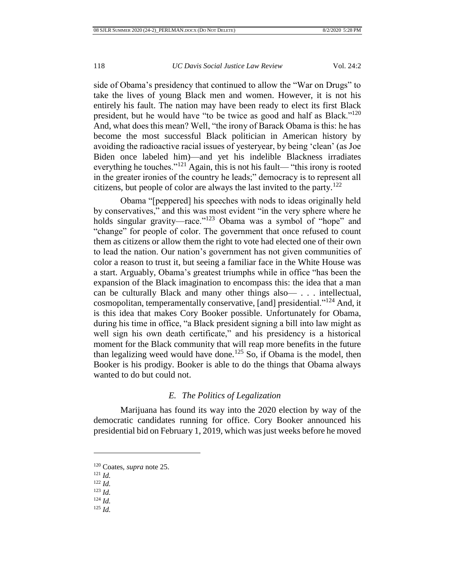side of Obama's presidency that continued to allow the "War on Drugs" to take the lives of young Black men and women. However, it is not his entirely his fault. The nation may have been ready to elect its first Black president, but he would have "to be twice as good and half as Black."<sup>120</sup> And, what does this mean? Well, "the irony of Barack Obama is this: he has become the most successful Black politician in American history by avoiding the radioactive racial issues of yesteryear, by being 'clean' (as Joe Biden once labeled him)—and yet his indelible Blackness irradiates everything he touches."<sup>121</sup> Again, this is not his fault— "this irony is rooted in the greater ironies of the country he leads;" democracy is to represent all citizens, but people of color are always the last invited to the party.<sup>122</sup>

Obama "[peppered] his speeches with nods to ideas originally held by conservatives," and this was most evident "in the very sphere where he holds singular gravity—race."<sup>123</sup> Obama was a symbol of "hope" and "change" for people of color. The government that once refused to count them as citizens or allow them the right to vote had elected one of their own to lead the nation. Our nation's government has not given communities of color a reason to trust it, but seeing a familiar face in the White House was a start. Arguably, Obama's greatest triumphs while in office "has been the expansion of the Black imagination to encompass this: the idea that a man can be culturally Black and many other things also— . . . intellectual, cosmopolitan, temperamentally conservative, [and] presidential."<sup>124</sup> And, it is this idea that makes Cory Booker possible. Unfortunately for Obama, during his time in office, "a Black president signing a bill into law might as well sign his own death certificate," and his presidency is a historical moment for the Black community that will reap more benefits in the future than legalizing weed would have done.<sup>125</sup> So, if Obama is the model, then Booker is his prodigy. Booker is able to do the things that Obama always wanted to do but could not.

## *E. The Politics of Legalization*

<span id="page-24-0"></span>Marijuana has found its way into the 2020 election by way of the democratic candidates running for office. Cory Booker announced his presidential bid on February 1, 2019, which was just weeks before he moved

- <sup>123</sup> *Id.*
- <sup>124</sup> *Id.* <sup>125</sup> *Id.*

<sup>120</sup> Coates, *supra* note 25.

<sup>121</sup> *Id.*

<sup>122</sup> *Id.*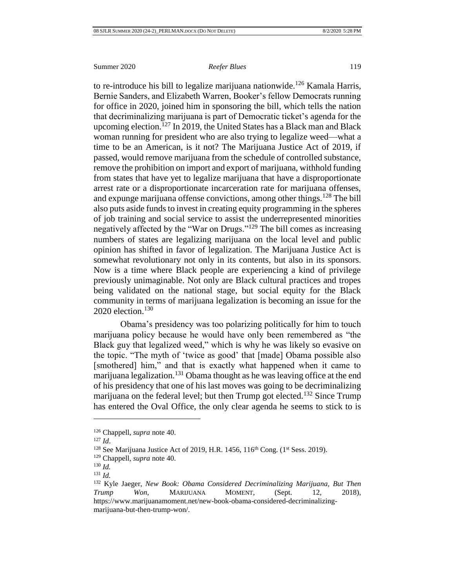to re-introduce his bill to legalize marijuana nationwide.<sup>126</sup> Kamala Harris, Bernie Sanders, and Elizabeth Warren, Booker's fellow Democrats running for office in 2020, joined him in sponsoring the bill, which tells the nation that decriminalizing marijuana is part of Democratic ticket's agenda for the upcoming election.<sup>127</sup> In 2019, the United States has a Black man and Black woman running for president who are also trying to legalize weed—what a time to be an American, is it not? The Marijuana Justice Act of 2019, if passed, would remove marijuana from the schedule of controlled substance, remove the prohibition on import and export of marijuana, withhold funding from states that have yet to legalize marijuana that have a disproportionate arrest rate or a disproportionate incarceration rate for marijuana offenses, and expunge marijuana offense convictions, among other things.<sup>128</sup> The bill also puts aside funds to invest in creating equity programming in the spheres of job training and social service to assist the underrepresented minorities negatively affected by the "War on Drugs."<sup>129</sup> The bill comes as increasing numbers of states are legalizing marijuana on the local level and public opinion has shifted in favor of legalization. The Marijuana Justice Act is somewhat revolutionary not only in its contents, but also in its sponsors. Now is a time where Black people are experiencing a kind of privilege previously unimaginable. Not only are Black cultural practices and tropes being validated on the national stage, but social equity for the Black community in terms of marijuana legalization is becoming an issue for the 2020 election. $130$ 

Obama's presidency was too polarizing politically for him to touch marijuana policy because he would have only been remembered as "the Black guy that legalized weed," which is why he was likely so evasive on the topic. "The myth of 'twice as good' that [made] Obama possible also [smothered] him," and that is exactly what happened when it came to marijuana legalization.<sup>131</sup> Obama thought as he was leaving office at the end of his presidency that one of his last moves was going to be decriminalizing marijuana on the federal level; but then Trump got elected.<sup>132</sup> Since Trump has entered the Oval Office, the only clear agenda he seems to stick to is

<sup>126</sup> Chappell, *supra* note 40.

<sup>127</sup> *Id*.

 $128$  See Marijuana Justice Act of 2019, H.R. 1456, 116<sup>th</sup> Cong. (1<sup>st</sup> Sess. 2019).

<sup>129</sup> Chappell, *supra* note 40.

<sup>130</sup> *Id.*

<sup>131</sup> *Id.*

<sup>132</sup> Kyle Jaeger, *New Book: Obama Considered Decriminalizing Marijuana, But Then Trump Won*, MARIJUANA MOMENT, (Sept. 12, 2018), https://www.marijuanamoment.net/new-book-obama-considered-decriminalizingmarijuana-but-then-trump-won/.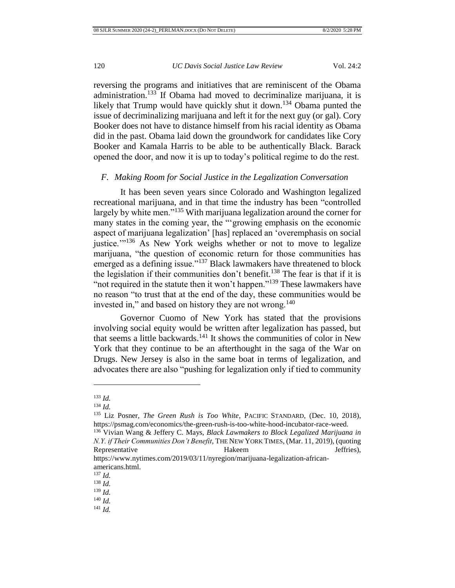reversing the programs and initiatives that are reminiscent of the Obama administration.<sup>133</sup> If Obama had moved to decriminalize marijuana, it is likely that Trump would have quickly shut it down.<sup>134</sup> Obama punted the issue of decriminalizing marijuana and left it for the next guy (or gal). Cory Booker does not have to distance himself from his racial identity as Obama did in the past. Obama laid down the groundwork for candidates like Cory Booker and Kamala Harris to be able to be authentically Black. Barack opened the door, and now it is up to today's political regime to do the rest.

### <span id="page-26-0"></span>*F. Making Room for Social Justice in the Legalization Conversation*

It has been seven years since Colorado and Washington legalized recreational marijuana, and in that time the industry has been "controlled largely by white men."<sup>135</sup> With marijuana legalization around the corner for many states in the coming year, the "'growing emphasis on the economic aspect of marijuana legalization' [has] replaced an 'overemphasis on social justice."<sup>136</sup> As New York weighs whether or not to move to legalize marijuana, "the question of economic return for those communities has emerged as a defining issue."<sup>137</sup> Black lawmakers have threatened to block the legislation if their communities don't benefit.<sup>138</sup> The fear is that if it is "not required in the statute then it won't happen."<sup>139</sup> These lawmakers have no reason "to trust that at the end of the day, these communities would be invested in," and based on history they are not wrong.<sup>140</sup>

Governor Cuomo of New York has stated that the provisions involving social equity would be written after legalization has passed, but that seems a little backwards.<sup>141</sup> It shows the communities of color in New York that they continue to be an afterthought in the saga of the War on Drugs. New Jersey is also in the same boat in terms of legalization, and advocates there are also "pushing for legalization only if tied to community

<sup>133</sup> *Id.*

<sup>134</sup> *Id.*

<sup>135</sup> Liz Posner, *The Green Rush is Too White*, PACIFIC STANDARD, (Dec. 10, 2018), https://psmag.com/economics/the-green-rush-is-too-white-hood-incubator-race-weed.

<sup>136</sup> Vivian Wang & Jeffery C. Mays, *Black Lawmakers to Block Legalized Marijuana in N.Y. if Their Communities Don't Benefit*, THE NEW YORK TIMES, (Mar. 11, 2019), (quoting Representative Hakeem Hakeem Jeffries), https://www.nytimes.com/2019/03/11/nyregion/marijuana-legalization-african-

americans.html.

<sup>137</sup> *Id.*

<sup>138</sup> *Id.*

<sup>139</sup> *Id.*

<sup>140</sup> *Id.*

<sup>141</sup> *Id.*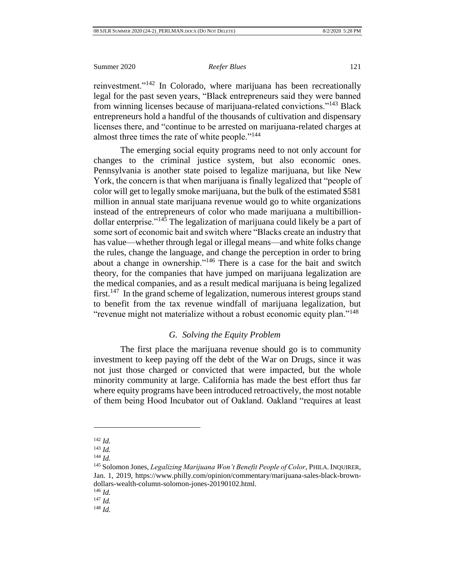reinvestment."<sup>142</sup> In Colorado, where marijuana has been recreationally legal for the past seven years, "Black entrepreneurs said they were banned from winning licenses because of marijuana-related convictions."<sup>143</sup> Black entrepreneurs hold a handful of the thousands of cultivation and dispensary licenses there, and "continue to be arrested on marijuana-related charges at almost three times the rate of white people."<sup>144</sup>

The emerging social equity programs need to not only account for changes to the criminal justice system, but also economic ones. Pennsylvania is another state poised to legalize marijuana, but like New York, the concern is that when marijuana is finally legalized that "people of color will get to legally smoke marijuana, but the bulk of the estimated \$581 million in annual state marijuana revenue would go to white organizations instead of the entrepreneurs of color who made marijuana a multibilliondollar enterprise."<sup>145</sup> The legalization of marijuana could likely be a part of some sort of economic bait and switch where "Blacks create an industry that has value—whether through legal or illegal means—and white folks change the rules, change the language, and change the perception in order to bring about a change in ownership."<sup>146</sup> There is a case for the bait and switch theory, for the companies that have jumped on marijuana legalization are the medical companies, and as a result medical marijuana is being legalized first.<sup>147</sup> In the grand scheme of legalization, numerous interest groups stand to benefit from the tax revenue windfall of marijuana legalization, but "revenue might not materialize without a robust economic equity plan."<sup>148</sup>

# *G. Solving the Equity Problem*

<span id="page-27-0"></span>The first place the marijuana revenue should go is to community investment to keep paying off the debt of the War on Drugs, since it was not just those charged or convicted that were impacted, but the whole minority community at large. California has made the best effort thus far where equity programs have been introduced retroactively, the most notable of them being Hood Incubator out of Oakland. Oakland "requires at least

l

<sup>142</sup> *Id.*

<sup>143</sup> *Id.*

<sup>144</sup> *Id.*

<sup>145</sup> Solomon Jones, *Legalizing Marijuana Won't Benefit People of Color*, PHILA. INQUIRER, Jan. 1, 2019, https://www.philly.com/opinion/commentary/marijuana-sales-black-browndollars-wealth-column-solomon-jones-20190102.html.

<sup>146</sup> *Id.*

<sup>147</sup> *Id.*

<sup>148</sup> *Id.*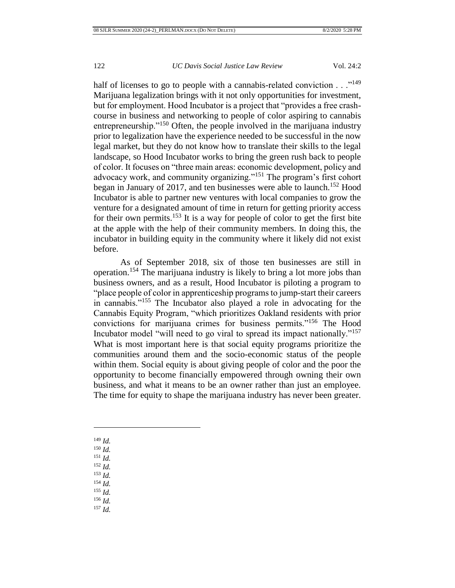half of licenses to go to people with a cannabis-related conviction . . ."<sup>149</sup> Marijuana legalization brings with it not only opportunities for investment, but for employment. Hood Incubator is a project that "provides a free crashcourse in business and networking to people of color aspiring to cannabis entrepreneurship."<sup>150</sup> Often, the people involved in the marijuana industry prior to legalization have the experience needed to be successful in the now legal market, but they do not know how to translate their skills to the legal landscape, so Hood Incubator works to bring the green rush back to people of color. It focuses on "three main areas: economic development, policy and advocacy work, and community organizing."<sup>151</sup> The program's first cohort began in January of 2017, and ten businesses were able to launch.<sup>152</sup> Hood Incubator is able to partner new ventures with local companies to grow the venture for a designated amount of time in return for getting priority access for their own permits.<sup>153</sup> It is a way for people of color to get the first bite at the apple with the help of their community members. In doing this, the incubator in building equity in the community where it likely did not exist before.

As of September 2018, six of those ten businesses are still in operation.<sup>154</sup> The marijuana industry is likely to bring a lot more jobs than business owners, and as a result, Hood Incubator is piloting a program to "place people of color in apprenticeship programs to jump-start their careers in cannabis."<sup>155</sup> The Incubator also played a role in advocating for the Cannabis Equity Program, "which prioritizes Oakland residents with prior convictions for marijuana crimes for business permits."<sup>156</sup> The Hood Incubator model "will need to go viral to spread its impact nationally."<sup>157</sup> What is most important here is that social equity programs prioritize the communities around them and the socio-economic status of the people within them. Social equity is about giving people of color and the poor the opportunity to become financially empowered through owning their own business, and what it means to be an owner rather than just an employee. The time for equity to shape the marijuana industry has never been greater.

<sup>149</sup> *Id.*

l

- <sup>150</sup> *Id.*
- <sup>151</sup> *Id.*
- <sup>152</sup> *Id.*
- <sup>153</sup> *Id.*
- <sup>154</sup> *Id.*
- <sup>155</sup> *Id.*
- <sup>156</sup> *Id.*
- <sup>157</sup> *Id.*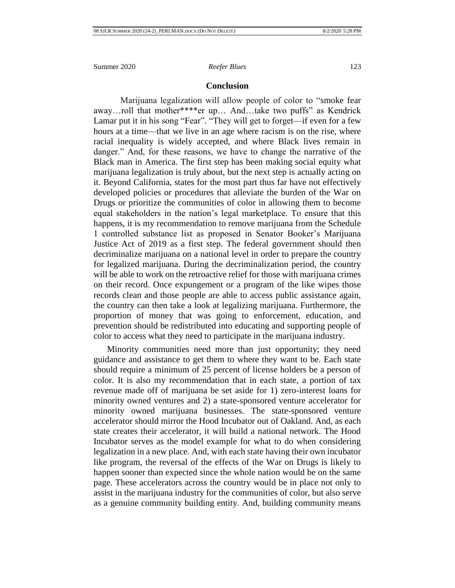### **Conclusion**

<span id="page-29-0"></span>Marijuana legalization will allow people of color to "smoke fear away…roll that mother\*\*\*\*er up… And…take two puffs" as Kendrick Lamar put it in his song "Fear". "They will get to forget—if even for a few hours at a time—that we live in an age where racism is on the rise, where racial inequality is widely accepted, and where Black lives remain in danger." And, for these reasons, we have to change the narrative of the Black man in America. The first step has been making social equity what marijuana legalization is truly about, but the next step is actually acting on it. Beyond California, states for the most part thus far have not effectively developed policies or procedures that alleviate the burden of the War on Drugs or prioritize the communities of color in allowing them to become equal stakeholders in the nation's legal marketplace. To ensure that this happens, it is my recommendation to remove marijuana from the Schedule 1 controlled substance list as proposed in Senator Booker's Marijuana Justice Act of 2019 as a first step. The federal government should then decriminalize marijuana on a national level in order to prepare the country for legalized marijuana. During the decriminalization period, the country will be able to work on the retroactive relief for those with marijuana crimes on their record. Once expungement or a program of the like wipes those records clean and those people are able to access public assistance again, the country can then take a look at legalizing marijuana. Furthermore, the proportion of money that was going to enforcement, education, and prevention should be redistributed into educating and supporting people of color to access what they need to participate in the marijuana industry.

Minority communities need more than just opportunity; they need guidance and assistance to get them to where they want to be. Each state should require a minimum of 25 percent of license holders be a person of color. It is also my recommendation that in each state, a portion of tax revenue made off of marijuana be set aside for 1) zero-interest loans for minority owned ventures and 2) a state-sponsored venture accelerator for minority owned marijuana businesses. The state-sponsored venture accelerator should mirror the Hood Incubator out of Oakland. And, as each state creates their accelerator, it will build a national network. The Hood Incubator serves as the model example for what to do when considering legalization in a new place. And, with each state having their own incubator like program, the reversal of the effects of the War on Drugs is likely to happen sooner than expected since the whole nation would be on the same page. These accelerators across the country would be in place not only to assist in the marijuana industry for the communities of color, but also serve as a genuine community building entity. And, building community means